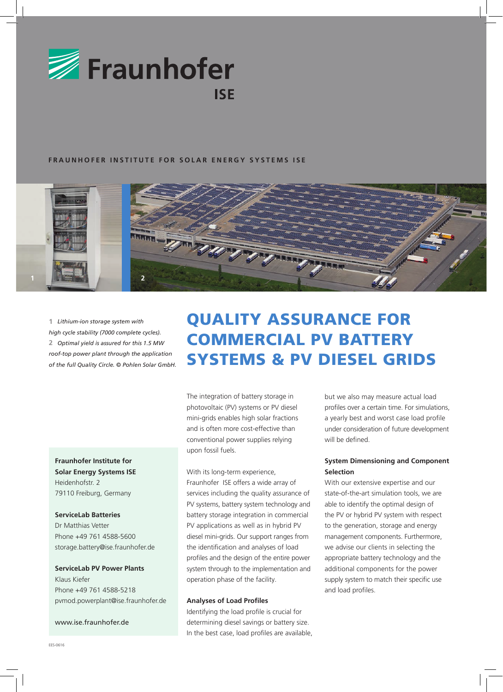

#### **FRAUNHOFER INSTITUTE FOR SOLAR ENERGY SYSTEMS ISE**



**1** *Lithium-ion storage system with high cycle stability (7000 complete cycles).* **2** *Optimal yield is assured for this 1.5 MW roof-top power plant through the application of the full Quality Circle. © Pohlen Solar GmbH.*

### **Fraunhofer Institute for**

**Solar Energy Systems ISE** Heidenhofstr. 2 79110 Freiburg, Germany

#### **ServiceLab Batteries**

Dr Matthias Vetter Phone +49 761 4588-5600 storage.battery@ise.fraunhofer.de

## **ServiceLab PV Power Plants** Klaus Kiefer

Phone +49 761 4588-5218 pvmod.powerplant@ise.fraunhofer.de

#### www.ise.fraunhofer.de

# QUALITY ASSURANCE for COMMERCIAL PV BATTERY SYSTEMS & PV Diesel GRIDS

The integration of battery storage in photovoltaic (PV) systems or PV diesel mini-grids enables high solar fractions and is often more cost-effective than conventional power supplies relying upon fossil fuels.

#### With its long-term experience,

Fraunhofer ISE offers a wide array of services including the quality assurance of PV systems, battery system technology and battery storage integration in commercial PV applications as well as in hybrid PV diesel mini-grids. Our support ranges from the identification and analyses of load profiles and the design of the entire power system through to the implementation and operation phase of the facility.

#### **Analyses of Load Profiles**

Identifying the load profile is crucial for determining diesel savings or battery size. In the best case, load profiles are available, but we also may measure actual load profiles over a certain time. For simulations, a yearly best and worst case load profile under consideration of future development will be defined.

#### **System Dimensioning and Component Selection**

With our extensive expertise and our state-of-the-art simulation tools, we are able to identify the optimal design of the PV or hybrid PV system with respect to the generation, storage and energy management components. Furthermore, we advise our clients in selecting the appropriate battery technology and the additional components for the power supply system to match their specific use and load profiles.